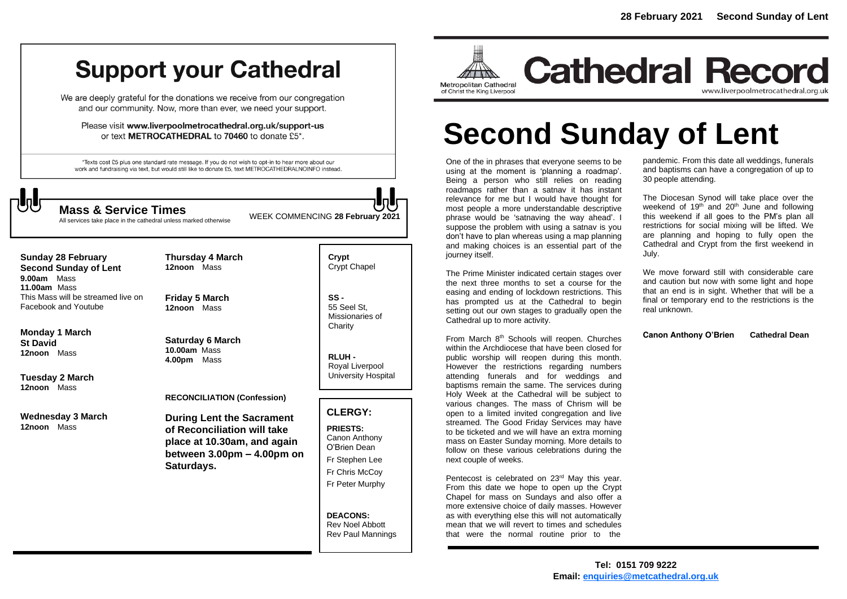# **Support your Cathedral**

We are deeply grateful for the donations we receive from our congregation and our community. Now, more than ever, we need your support.

Please visit www.liverpoolmetrocathedral.org.uk/support-us or text METROCATHEDRAL to 70460 to donate £5\*.

\*Texts cost £5 plus one standard rate message. If you do not wish to opt-in to hear more about our work and fundraising via text, but would still like to donate £5, text METROCATHEDRALNOINFO instead.



All services take place in the cathedral unless marked otherwise

WEEK COMMENCING **<sup>28</sup> February 2021 Mass & Service Times**

**Sunday 28 February Second Sunday of Lent 9.00am** Mass **11.00am** Mass This Mass will be streamed live on

Facebook and Youtube

**Monday 1 March St David 12noon** Mass

**Tuesday 2 March 12noon** Mass

**Wednesday 3 March 12noon** Mass

**Friday 5 March 12noon** Mass

**Thursday 4 March 12noon** Mass

**Saturday 6 March 10.00am** Mass **4.00pm** Mass

**RECONCILIATION (Confession)** 

**During Lent the Sacrament of Reconciliation will take place at 10.30am, and again between 3.00pm – 4.00pm on Saturdays.**

**Crypt**  Crypt Chapel

**SS -** 55 Seel St, Missionaries of **Charity** 

**RLUH -** Royal Liverpool University Hospital

# **CLERGY:**

**PRIESTS:** Canon Anthony O'Brien *Dean* Fr Stephen Lee Fr Chris McCoy Fr Peter Murphy

**DEACONS:** Rev Noel Abbott Rev Paul Mannings



**Cathedral Record** www.liverpoolmetrocathedral.org.uk

# **Second Sunday of Lent**

One of the in phrases that everyone seems to be using at the moment is 'planning a roadmap'. Being a person who still relies on reading roadmaps rather than a satnav it has instant relevance for me but I would have thought for most people a more understandable descriptive phrase would be 'satnaving the way ahead'. I suppose the problem with using a satnav is you don't have to plan whereas using a map planning and making choices is an essential part of the journey itself.

The Prime Minister indicated certain stages over the next three months to set a course for the easing and ending of lockdown restrictions. This has prompted us at the Cathedral to begin setting out our own stages to gradually open the Cathedral up to more activity.

From March 8<sup>th</sup> Schools will reopen. Churches within the Archdiocese that have been closed for public worship will reopen during this month. However the restrictions regarding numbers attending funerals and for weddings and baptisms remain the same. The services during Holy Week at the Cathedral will be subject to various changes. The mass of Chrism will be open to a limited invited congregation and live streamed. The Good Friday Services may have to be ticketed and we will have an extra morning mass on Easter Sunday morning. More details to follow on these various celebrations during the next couple of weeks.

Pentecost is celebrated on 23<sup>rd</sup> May this year. From this date we hope to open up the Crypt Chapel for mass on Sundays and also offer a more extensive choice of daily masses. However as with everything else this will not automatically mean that we will revert to times and schedules that were the normal routine prior to the

pandemic. From this date all weddings, funerals and baptisms can have a congregation of up to 30 people attending.

The Diocesan Synod will take place over the weekend of 19<sup>th</sup> and 20<sup>th</sup> June and following this weekend if all goes to the PM's plan all restrictions for social mixing will be lifted. We are planning and hoping to fully open the Cathedral and Crypt from the first weekend in July.

We move forward still with considerable care and caution but now with some light and hope that an end is in sight. Whether that will be a final or temporary end to the restrictions is the real unknown.

**Canon Anthony O'Brien Cathedral Dean**